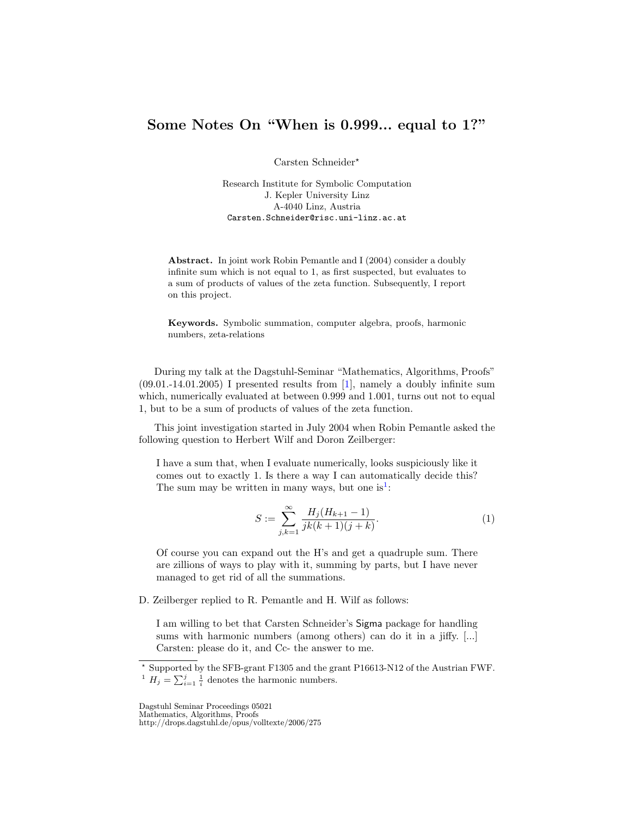## Some Notes On "When is 0.999... equal to 1?"

Carsten Schneider?

Research Institute for Symbolic Computation J. Kepler University Linz A-4040 Linz, Austria Carsten.Schneider@risc.uni-linz.ac.at

Abstract. In joint work Robin Pemantle and I (2004) consider a doubly infinite sum which is not equal to 1, as first suspected, but evaluates to a sum of products of values of the zeta function. Subsequently, I report on this project.

Keywords. Symbolic summation, computer algebra, proofs, harmonic numbers, zeta-relations

During my talk at the Dagstuhl-Seminar "Mathematics, Algorithms, Proofs"  $(09.01.-14.01.2005)$  I presented results from [\[1\]](#page-2-0), namely a doubly infinite sum which, numerically evaluated at between 0.999 and 1.001, turns out not to equal 1, but to be a sum of products of values of the zeta function.

This joint investigation started in July 2004 when Robin Pemantle asked the following question to Herbert Wilf and Doron Zeilberger:

I have a sum that, when I evaluate numerically, looks suspiciously like it comes out to exactly 1. Is there a way I can automatically decide this? The sum may be written in many ways, but one is<sup>[1](#page-0-0)</sup>:

<span id="page-0-1"></span>
$$
S := \sum_{j,k=1}^{\infty} \frac{H_j(H_{k+1}-1)}{jk(k+1)(j+k)}.
$$
 (1)

Of course you can expand out the H's and get a quadruple sum. There are zillions of ways to play with it, summing by parts, but I have never managed to get rid of all the summations.

D. Zeilberger replied to R. Pemantle and H. Wilf as follows:

I am willing to bet that Carsten Schneider's Sigma package for handling sums with harmonic numbers (among others) can do it in a jiffy. [...] Carsten: please do it, and Cc- the answer to me.

Dagstuhl Seminar Proceedings 05021 Mathematics, Algorithms, Proofs

http://drops.dagstuhl.de/opus/volltexte/2006/275

<span id="page-0-0"></span> $^\star$  Supported by the SFB-grant F1305 and the grant P16613-N12 of the Austrian FWF. <sup>1</sup>  $H_j = \sum_{i=1}^j \frac{1}{i}$  denotes the harmonic numbers.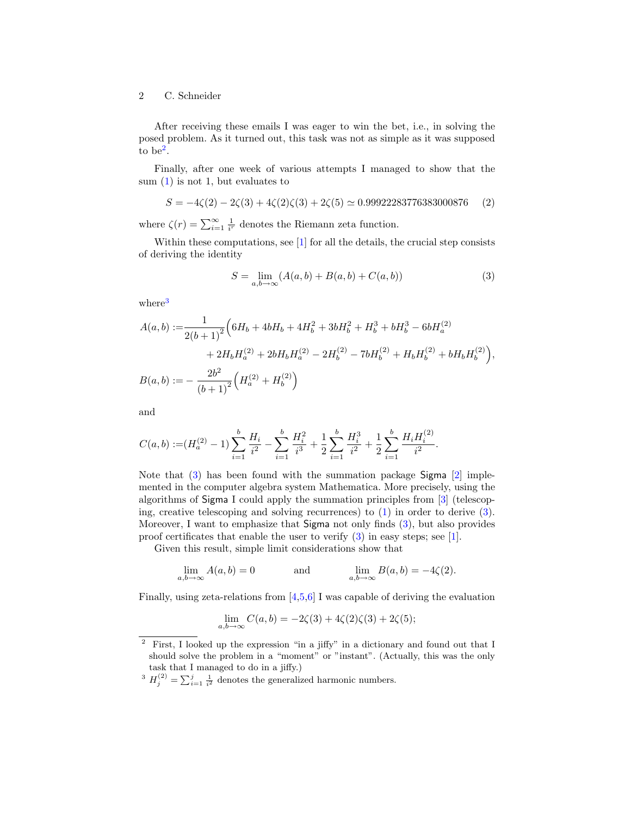## 2 C. Schneider

After receiving these emails I was eager to win the bet, i.e., in solving the posed problem. As it turned out, this task was not as simple as it was supposed to be<sup>[2](#page-1-0)</sup>.

Finally, after one week of various attempts I managed to show that the sum  $(1)$  is not 1, but evaluates to

<span id="page-1-3"></span>
$$
S = -4\zeta(2) - 2\zeta(3) + 4\zeta(2)\zeta(3) + 2\zeta(5) \simeq 0.99922283776383000876 \tag{2}
$$

where  $\zeta(r) = \sum_{i=1}^{\infty} \frac{1}{i^r}$  denotes the Riemann zeta function.

Within these computations, see [\[1\]](#page-2-0) for all the details, the crucial step consists of deriving the identity

<span id="page-1-2"></span>
$$
S = \lim_{a,b \to \infty} (A(a,b) + B(a,b) + C(a,b))
$$
 (3)

where<sup>[3](#page-1-1)</sup>

$$
A(a,b) := \frac{1}{2(b+1)^2} \Big( 6H_b + 4bH_b + 4H_b^2 + 3bH_b^2 + H_b^3 + bH_b^3 - 6bH_a^{(2)}
$$
  
+ 
$$
2H_bH_a^{(2)} + 2bH_bH_a^{(2)} - 2H_b^{(2)} - 7bH_b^{(2)} + H_bH_b^{(2)} + bH_bH_b^{(2)} \Big),
$$
  

$$
B(a,b) := -\frac{2b^2}{(b+1)^2} \Big( H_a^{(2)} + H_b^{(2)} \Big)
$$

and

$$
C(a,b) := (H_a^{(2)} - 1) \sum_{i=1}^b \frac{H_i}{i^2} - \sum_{i=1}^b \frac{H_i^2}{i^3} + \frac{1}{2} \sum_{i=1}^b \frac{H_i^3}{i^2} + \frac{1}{2} \sum_{i=1}^b \frac{H_i H_i^{(2)}}{i^2}.
$$

Note that [\(3\)](#page-1-2) has been found with the summation package Sigma [\[2\]](#page-2-1) implemented in the computer algebra system Mathematica. More precisely, using the algorithms of Sigma I could apply the summation principles from [\[3\]](#page-2-2) (telescoping, creative telescoping and solving recurrences) to [\(1\)](#page-0-1) in order to derive [\(3\)](#page-1-2). Moreover, I want to emphasize that Sigma not only finds [\(3\)](#page-1-2), but also provides proof certificates that enable the user to verify  $(3)$  in easy steps; see [\[1\]](#page-2-0).

Given this result, simple limit considerations show that

$$
\lim_{a,b \to \infty} A(a,b) = 0 \qquad \text{and} \qquad \lim_{a,b \to \infty} B(a,b) = -4\zeta(2).
$$

Finally, using zeta-relations from  $[4,5,6]$  $[4,5,6]$  $[4,5,6]$  I was capable of deriving the evaluation

$$
\lim_{a,b \to \infty} C(a,b) = -2\zeta(3) + 4\zeta(2)\zeta(3) + 2\zeta(5);
$$

<span id="page-1-0"></span><sup>2</sup> First, I looked up the expression "in a jiffy" in a dictionary and found out that I should solve the problem in a "moment" or "instant". (Actually, this was the only task that I managed to do in a jiffy.)

<span id="page-1-1"></span><sup>&</sup>lt;sup>3</sup>  $H_j^{(2)} = \sum_{i=1}^j \frac{1}{i^2}$  denotes the generalized harmonic numbers.